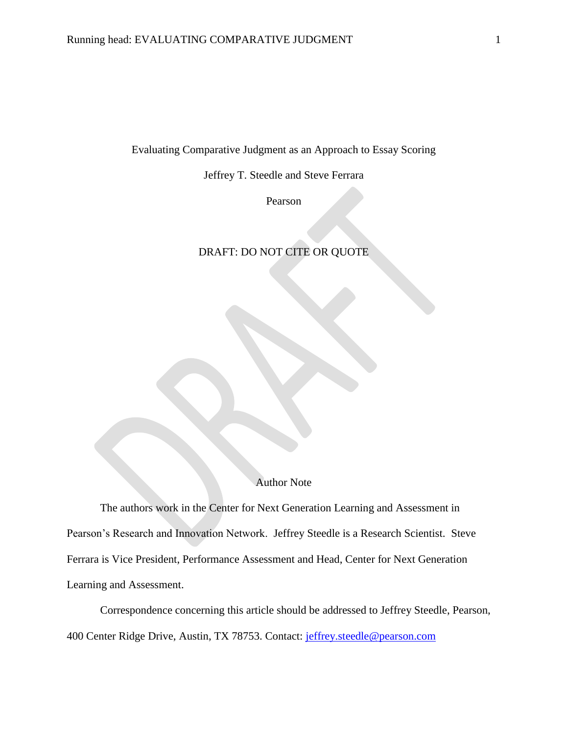Evaluating Comparative Judgment as an Approach to Essay Scoring

Jeffrey T. Steedle and Steve Ferrara

Pearson

## DRAFT: DO NOT CITE OR QUOTE

### Author Note

The authors work in the Center for Next Generation Learning and Assessment in Pearson's Research and Innovation Network. Jeffrey Steedle is a Research Scientist. Steve Ferrara is Vice President, Performance Assessment and Head, Center for Next Generation Learning and Assessment.

Correspondence concerning this article should be addressed to Jeffrey Steedle, Pearson, 400 Center Ridge Drive, Austin, TX 78753. Contact: [jeffrey.steedle@pearson.com](mailto:jeffrey.steedle@pearson.com)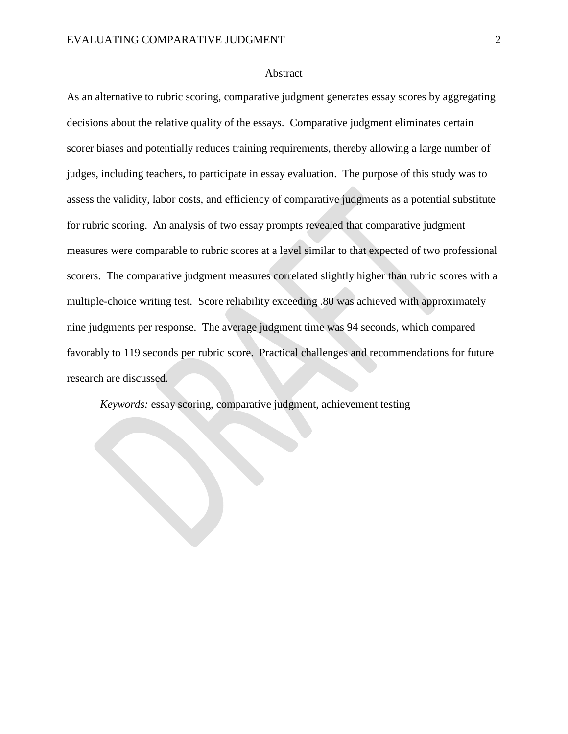#### Abstract

As an alternative to rubric scoring, comparative judgment generates essay scores by aggregating decisions about the relative quality of the essays. Comparative judgment eliminates certain scorer biases and potentially reduces training requirements, thereby allowing a large number of judges, including teachers, to participate in essay evaluation. The purpose of this study was to assess the validity, labor costs, and efficiency of comparative judgments as a potential substitute for rubric scoring. An analysis of two essay prompts revealed that comparative judgment measures were comparable to rubric scores at a level similar to that expected of two professional scorers. The comparative judgment measures correlated slightly higher than rubric scores with a multiple-choice writing test. Score reliability exceeding .80 was achieved with approximately nine judgments per response. The average judgment time was 94 seconds, which compared favorably to 119 seconds per rubric score. Practical challenges and recommendations for future research are discussed.

*Keywords:* essay scoring, comparative judgment, achievement testing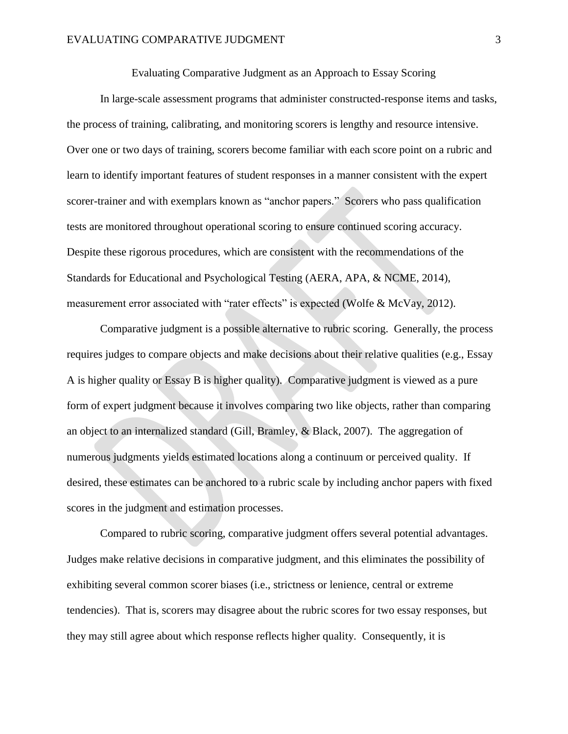Evaluating Comparative Judgment as an Approach to Essay Scoring

In large-scale assessment programs that administer constructed-response items and tasks, the process of training, calibrating, and monitoring scorers is lengthy and resource intensive. Over one or two days of training, scorers become familiar with each score point on a rubric and learn to identify important features of student responses in a manner consistent with the expert scorer-trainer and with exemplars known as "anchor papers." Scorers who pass qualification tests are monitored throughout operational scoring to ensure continued scoring accuracy. Despite these rigorous procedures, which are consistent with the recommendations of the Standards for Educational and Psychological Testing [\(AERA, APA, & NCME, 2014\)](#page-21-0), measurement error associated with "rater effects" is expected [\(Wolfe & McVay, 2012\)](#page-25-0).

Comparative judgment is a possible alternative to rubric scoring. Generally, the process requires judges to compare objects and make decisions about their relative qualities (e.g., Essay A is higher quality or Essay B is higher quality). Comparative judgment is viewed as a pure form of expert judgment because it involves comparing two like objects, rather than comparing an object to an internalized standard [\(Gill, Bramley, & Black, 2007\)](#page-22-0). The aggregation of numerous judgments yields estimated locations along a continuum or perceived quality. If desired, these estimates can be anchored to a rubric scale by including anchor papers with fixed scores in the judgment and estimation processes.

Compared to rubric scoring, comparative judgment offers several potential advantages. Judges make relative decisions in comparative judgment, and this eliminates the possibility of exhibiting several common scorer biases (i.e., strictness or lenience, central or extreme tendencies). That is, scorers may disagree about the rubric scores for two essay responses, but they may still agree about which response reflects higher quality. Consequently, it is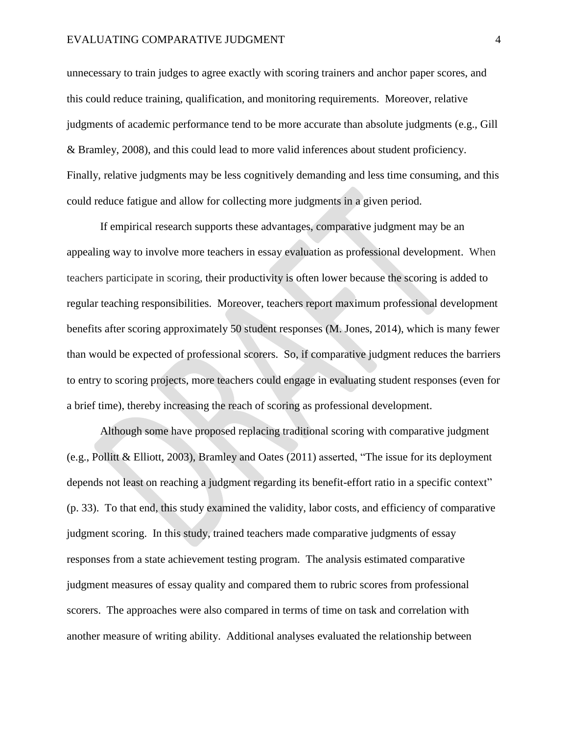unnecessary to train judges to agree exactly with scoring trainers and anchor paper scores, and this could reduce training, qualification, and monitoring requirements. Moreover, relative judgments of academic performance tend to be more accurate than absolute judgments [\(e.g., Gill](#page-22-1)  [& Bramley, 2008\)](#page-22-1), and this could lead to more valid inferences about student proficiency. Finally, relative judgments may be less cognitively demanding and less time consuming, and this could reduce fatigue and allow for collecting more judgments in a given period.

If empirical research supports these advantages, comparative judgment may be an appealing way to involve more teachers in essay evaluation as professional development. When teachers participate in scoring, their productivity is often lower because the scoring is added to regular teaching responsibilities. Moreover, teachers report maximum professional development benefits after scoring approximately 50 student responses [\(M. Jones, 2014\)](#page-23-0), which is many fewer than would be expected of professional scorers. So, if comparative judgment reduces the barriers to entry to scoring projects, more teachers could engage in evaluating student responses (even for a brief time), thereby increasing the reach of scoring as professional development.

Although some have proposed replacing traditional scoring with comparative judgment [\(e.g., Pollitt & Elliott, 2003\)](#page-24-0), Bramley and Oates [\(2011\)](#page-22-2) asserted, "The issue for its deployment depends not least on reaching a judgment regarding its benefit-effort ratio in a specific context" (p. 33). To that end, this study examined the validity, labor costs, and efficiency of comparative judgment scoring. In this study, trained teachers made comparative judgments of essay responses from a state achievement testing program. The analysis estimated comparative judgment measures of essay quality and compared them to rubric scores from professional scorers. The approaches were also compared in terms of time on task and correlation with another measure of writing ability. Additional analyses evaluated the relationship between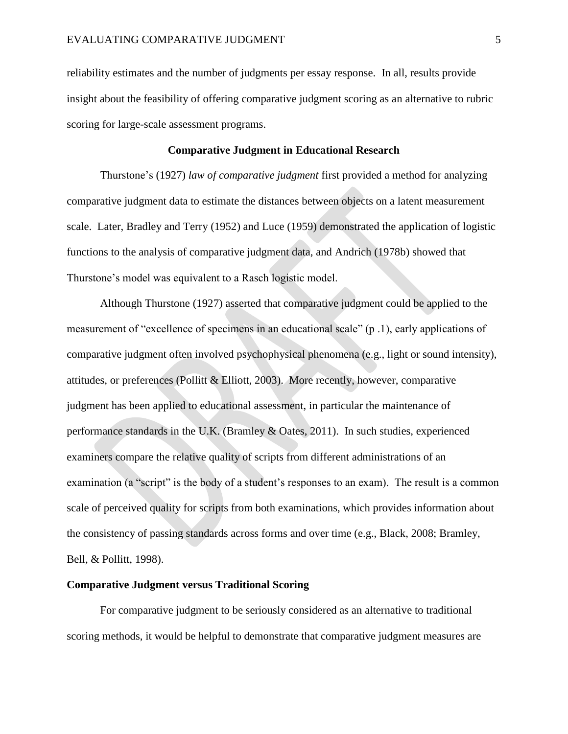reliability estimates and the number of judgments per essay response. In all, results provide insight about the feasibility of offering comparative judgment scoring as an alternative to rubric scoring for large-scale assessment programs.

#### **Comparative Judgment in Educational Research**

Thurstone's [\(1927\)](#page-25-1) *law of comparative judgment* first provided a method for analyzing comparative judgment data to estimate the distances between objects on a latent measurement scale. Later, Bradley and Terry [\(1952\)](#page-21-1) and Luce [\(1959\)](#page-23-1) demonstrated the application of logistic functions to the analysis of comparative judgment data, and Andrich [\(1978b\)](#page-21-2) showed that Thurstone's model was equivalent to a Rasch logistic model.

Although Thurstone [\(1927\)](#page-25-1) asserted that comparative judgment could be applied to the measurement of "excellence of specimens in an educational scale" (p .1), early applications of comparative judgment often involved psychophysical phenomena (e.g., light or sound intensity), attitudes, or preferences [\(Pollitt & Elliott, 2003\)](#page-24-0). More recently, however, comparative judgment has been applied to educational assessment, in particular the maintenance of performance standards in the U.K. [\(Bramley & Oates, 2011\)](#page-22-2). In such studies, experienced examiners compare the relative quality of scripts from different administrations of an examination (a "script" is the body of a student's responses to an exam). The result is a common scale of perceived quality for scripts from both examinations, which provides information about the consistency of passing standards across forms and over time (e.g., [Black, 2008;](#page-21-3) [Bramley,](#page-22-3)  [Bell, & Pollitt, 1998\)](#page-22-3).

### **Comparative Judgment versus Traditional Scoring**

For comparative judgment to be seriously considered as an alternative to traditional scoring methods, it would be helpful to demonstrate that comparative judgment measures are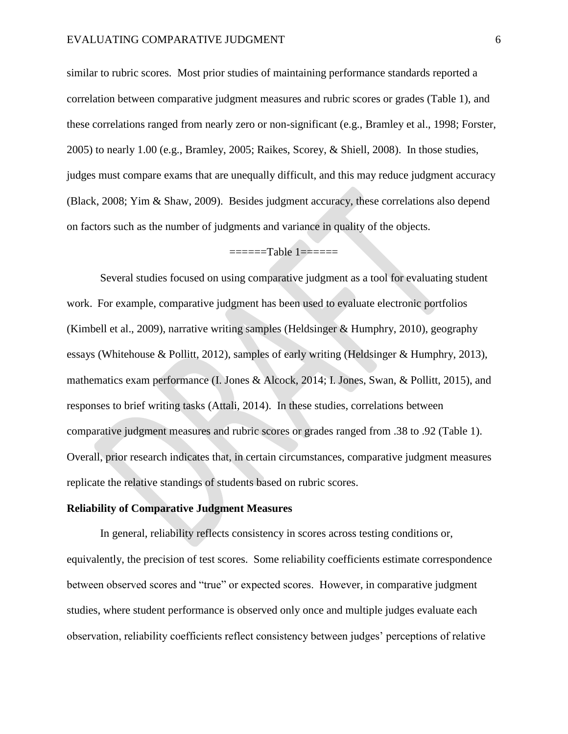similar to rubric scores. Most prior studies of maintaining performance standards reported a correlation between comparative judgment measures and rubric scores or grades (Table 1), and these correlations ranged from nearly zero or non-significant (e.g., [Bramley et al., 1998;](#page-22-3) [Forster,](#page-22-4)  [2005\)](#page-22-4) to nearly 1.00 (e.g., [Bramley, 2005;](#page-21-4) [Raikes, Scorey, & Shiell, 2008\)](#page-24-1). In those studies, judges must compare exams that are unequally difficult, and this may reduce judgment accuracy [\(Black, 2008;](#page-21-3) [Yim & Shaw, 2009\)](#page-25-2). Besides judgment accuracy, these correlations also depend on factors such as the number of judgments and variance in quality of the objects.

## ======Table 1======

Several studies focused on using comparative judgment as a tool for evaluating student work. For example, comparative judgment has been used to evaluate electronic portfolios [\(Kimbell et al., 2009\)](#page-23-2), narrative writing samples [\(Heldsinger & Humphry, 2010\)](#page-23-3), geography essays [\(Whitehouse & Pollitt, 2012\)](#page-25-3), samples of early writing [\(Heldsinger & Humphry, 2013\)](#page-23-4), mathematics exam performance [\(I. Jones & Alcock, 2014;](#page-23-5) [I. Jones, Swan, & Pollitt, 2015\)](#page-23-6), and responses to brief writing tasks [\(Attali, 2014\)](#page-21-5). In these studies, correlations between comparative judgment measures and rubric scores or grades ranged from .38 to .92 (Table 1). Overall, prior research indicates that, in certain circumstances, comparative judgment measures replicate the relative standings of students based on rubric scores.

### **Reliability of Comparative Judgment Measures**

In general, reliability reflects consistency in scores across testing conditions or, equivalently, the precision of test scores. Some reliability coefficients estimate correspondence between observed scores and "true" or expected scores. However, in comparative judgment studies, where student performance is observed only once and multiple judges evaluate each observation, reliability coefficients reflect consistency between judges' perceptions of relative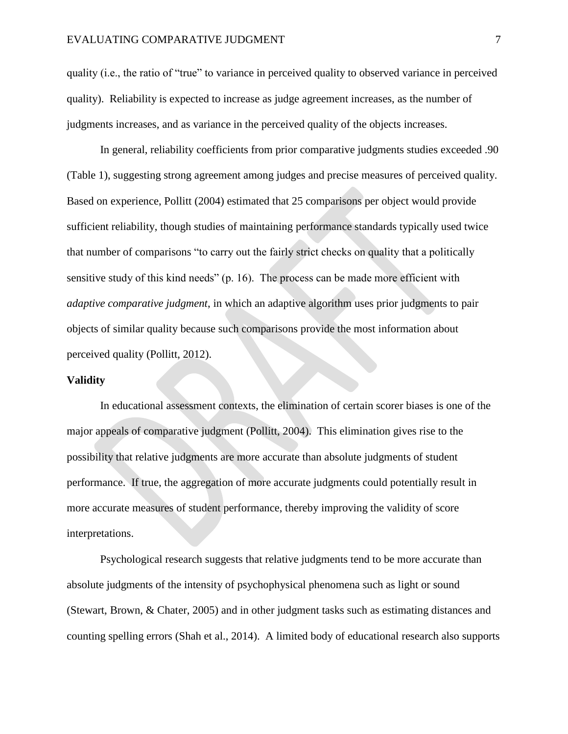quality (i.e., the ratio of "true" to variance in perceived quality to observed variance in perceived quality). Reliability is expected to increase as judge agreement increases, as the number of judgments increases, and as variance in the perceived quality of the objects increases.

In general, reliability coefficients from prior comparative judgments studies exceeded .90 (Table 1), suggesting strong agreement among judges and precise measures of perceived quality. Based on experience, Pollitt [\(2004\)](#page-24-2) estimated that 25 comparisons per object would provide sufficient reliability, though studies of maintaining performance standards typically used twice that number of comparisons "to carry out the fairly strict checks on quality that a politically sensitive study of this kind needs" (p. 16). The process can be made more efficient with *adaptive comparative judgment*, in which an adaptive algorithm uses prior judgments to pair objects of similar quality because such comparisons provide the most information about perceived quality [\(Pollitt, 2012\)](#page-24-3).

#### **Validity**

In educational assessment contexts, the elimination of certain scorer biases is one of the major appeals of comparative judgment [\(Pollitt, 2004\)](#page-24-2). This elimination gives rise to the possibility that relative judgments are more accurate than absolute judgments of student performance. If true, the aggregation of more accurate judgments could potentially result in more accurate measures of student performance, thereby improving the validity of score interpretations.

Psychological research suggests that relative judgments tend to be more accurate than absolute judgments of the intensity of psychophysical phenomena such as light or sound [\(Stewart, Brown, & Chater, 2005\)](#page-25-4) and in other judgment tasks such as estimating distances and counting spelling errors [\(Shah et al., 2014\)](#page-25-5). A limited body of educational research also supports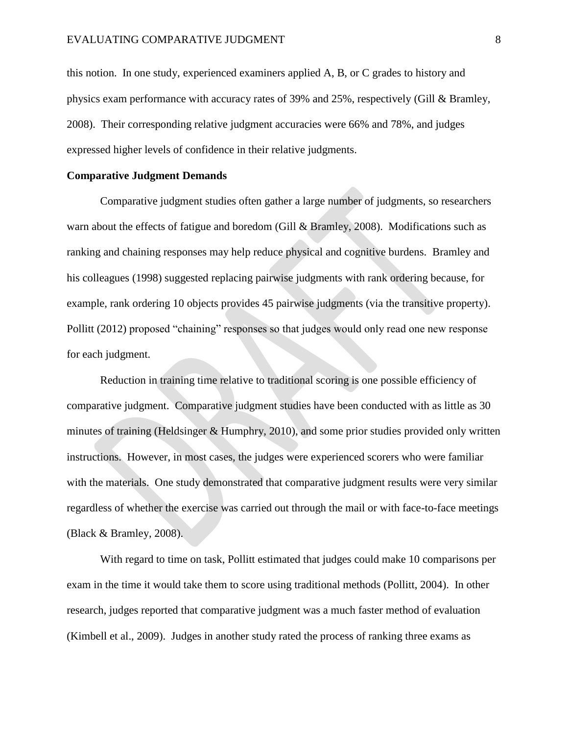this notion. In one study, experienced examiners applied A, B, or C grades to history and physics exam performance with accuracy rates of 39% and 25%, respectively [\(Gill & Bramley,](#page-22-1)  [2008\)](#page-22-1). Their corresponding relative judgment accuracies were 66% and 78%, and judges expressed higher levels of confidence in their relative judgments.

### **Comparative Judgment Demands**

Comparative judgment studies often gather a large number of judgments, so researchers warn about the effects of fatigue and boredom [\(Gill & Bramley, 2008\)](#page-22-1). Modifications such as ranking and chaining responses may help reduce physical and cognitive burdens. Bramley and his colleagues [\(1998\)](#page-22-3) suggested replacing pairwise judgments with rank ordering because, for example, rank ordering 10 objects provides 45 pairwise judgments (via the transitive property). Pollitt [\(2012\)](#page-24-3) proposed "chaining" responses so that judges would only read one new response for each judgment.

Reduction in training time relative to traditional scoring is one possible efficiency of comparative judgment. Comparative judgment studies have been conducted with as little as 30 minutes of training [\(Heldsinger & Humphry, 2010\)](#page-23-3), and some prior studies provided only written instructions. However, in most cases, the judges were experienced scorers who were familiar with the materials. One study demonstrated that comparative judgment results were very similar regardless of whether the exercise was carried out through the mail or with face-to-face meetings [\(Black & Bramley, 2008\)](#page-21-6).

With regard to time on task, Pollitt estimated that judges could make 10 comparisons per exam in the time it would take them to score using traditional methods [\(Pollitt, 2004\)](#page-24-2). In other research, judges reported that comparative judgment was a much faster method of evaluation [\(Kimbell et al., 2009\)](#page-23-2). Judges in another study rated the process of ranking three exams as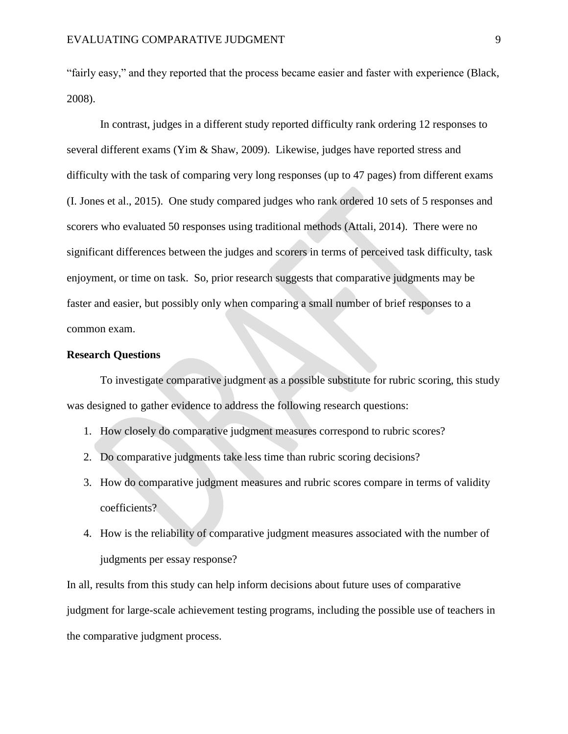"fairly easy," and they reported that the process became easier and faster with experience [\(Black,](#page-21-3)  [2008\)](#page-21-3).

In contrast, judges in a different study reported difficulty rank ordering 12 responses to several different exams [\(Yim & Shaw, 2009\)](#page-25-2). Likewise, judges have reported stress and difficulty with the task of comparing very long responses (up to 47 pages) from different exams [\(I. Jones et al., 2015\)](#page-23-6). One study compared judges who rank ordered 10 sets of 5 responses and scorers who evaluated 50 responses using traditional methods [\(Attali, 2014\)](#page-21-5). There were no significant differences between the judges and scorers in terms of perceived task difficulty, task enjoyment, or time on task. So, prior research suggests that comparative judgments may be faster and easier, but possibly only when comparing a small number of brief responses to a common exam.

#### **Research Questions**

To investigate comparative judgment as a possible substitute for rubric scoring, this study was designed to gather evidence to address the following research questions:

- 1. How closely do comparative judgment measures correspond to rubric scores?
- 2. Do comparative judgments take less time than rubric scoring decisions?
- 3. How do comparative judgment measures and rubric scores compare in terms of validity coefficients?
- 4. How is the reliability of comparative judgment measures associated with the number of judgments per essay response?

In all, results from this study can help inform decisions about future uses of comparative judgment for large-scale achievement testing programs, including the possible use of teachers in the comparative judgment process.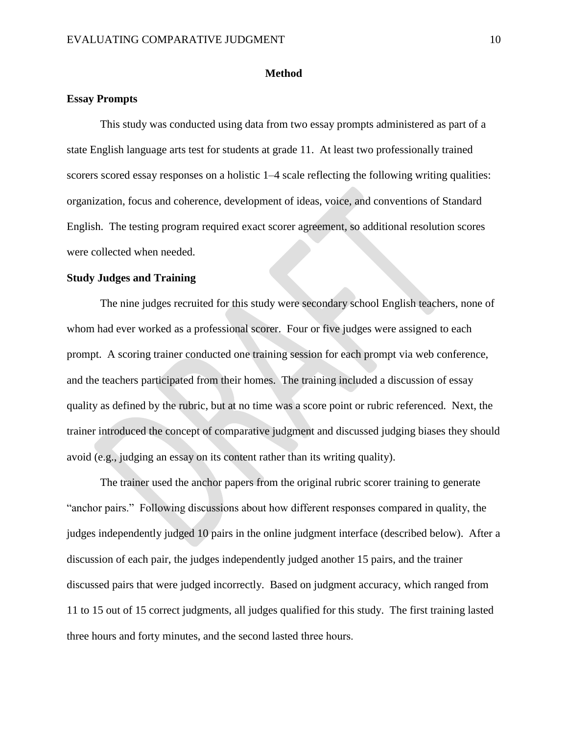#### **Method**

#### **Essay Prompts**

This study was conducted using data from two essay prompts administered as part of a state English language arts test for students at grade 11. At least two professionally trained scorers scored essay responses on a holistic  $1-4$  scale reflecting the following writing qualities: organization, focus and coherence, development of ideas, voice, and conventions of Standard English. The testing program required exact scorer agreement, so additional resolution scores were collected when needed.

#### **Study Judges and Training**

The nine judges recruited for this study were secondary school English teachers, none of whom had ever worked as a professional scorer. Four or five judges were assigned to each prompt. A scoring trainer conducted one training session for each prompt via web conference, and the teachers participated from their homes. The training included a discussion of essay quality as defined by the rubric, but at no time was a score point or rubric referenced. Next, the trainer introduced the concept of comparative judgment and discussed judging biases they should avoid (e.g., judging an essay on its content rather than its writing quality).

The trainer used the anchor papers from the original rubric scorer training to generate "anchor pairs." Following discussions about how different responses compared in quality, the judges independently judged 10 pairs in the online judgment interface (described below). After a discussion of each pair, the judges independently judged another 15 pairs, and the trainer discussed pairs that were judged incorrectly. Based on judgment accuracy, which ranged from 11 to 15 out of 15 correct judgments, all judges qualified for this study. The first training lasted three hours and forty minutes, and the second lasted three hours.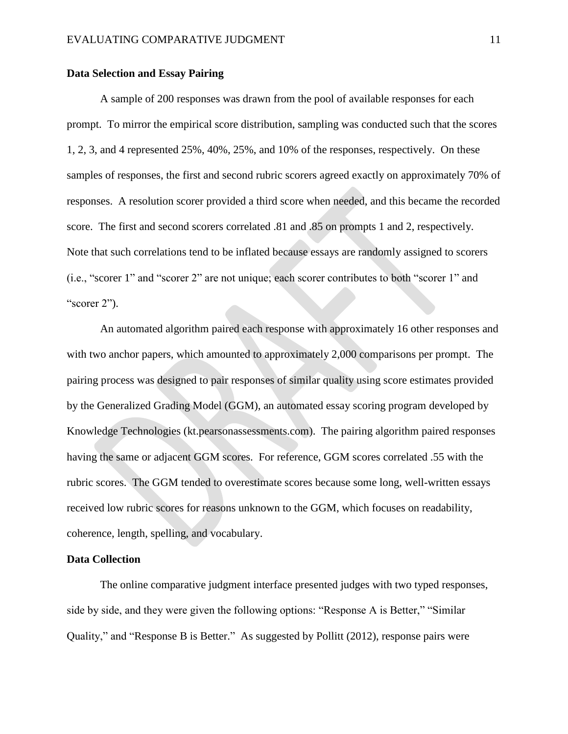#### **Data Selection and Essay Pairing**

A sample of 200 responses was drawn from the pool of available responses for each prompt. To mirror the empirical score distribution, sampling was conducted such that the scores 1, 2, 3, and 4 represented 25%, 40%, 25%, and 10% of the responses, respectively. On these samples of responses, the first and second rubric scorers agreed exactly on approximately 70% of responses. A resolution scorer provided a third score when needed, and this became the recorded score. The first and second scorers correlated .81 and .85 on prompts 1 and 2, respectively. Note that such correlations tend to be inflated because essays are randomly assigned to scorers (i.e., "scorer 1" and "scorer 2" are not unique; each scorer contributes to both "scorer 1" and "scorer 2").

An automated algorithm paired each response with approximately 16 other responses and with two anchor papers, which amounted to approximately 2,000 comparisons per prompt. The pairing process was designed to pair responses of similar quality using score estimates provided by the Generalized Grading Model (GGM), an automated essay scoring program developed by Knowledge Technologies (kt.pearsonassessments.com). The pairing algorithm paired responses having the same or adjacent GGM scores. For reference, GGM scores correlated .55 with the rubric scores. The GGM tended to overestimate scores because some long, well-written essays received low rubric scores for reasons unknown to the GGM, which focuses on readability, coherence, length, spelling, and vocabulary.

#### **Data Collection**

The online comparative judgment interface presented judges with two typed responses, side by side, and they were given the following options: "Response A is Better," "Similar Quality," and "Response B is Better." As suggested by [Pollitt \(2012\)](#page-24-3), response pairs were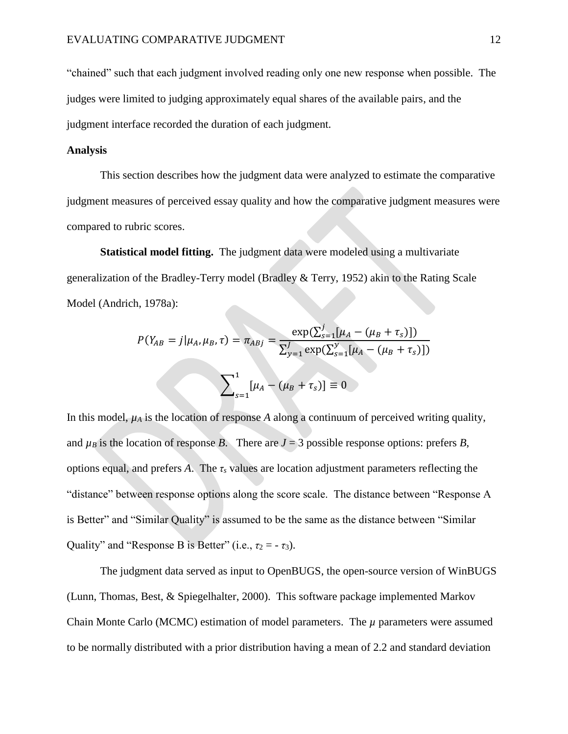"chained" such that each judgment involved reading only one new response when possible. The judges were limited to judging approximately equal shares of the available pairs, and the judgment interface recorded the duration of each judgment.

#### **Analysis**

This section describes how the judgment data were analyzed to estimate the comparative judgment measures of perceived essay quality and how the comparative judgment measures were compared to rubric scores.

**Statistical model fitting.** The judgment data were modeled using a multivariate generalization of the Bradley-Terry model [\(Bradley & Terry, 1952\)](#page-21-1) akin to the Rating Scale Model [\(Andrich, 1978a\)](#page-21-7):

$$
P(Y_{AB} = j | \mu_A, \mu_B, \tau) = \pi_{ABj} = \frac{\exp(\sum_{s=1}^{j} [\mu_A - (\mu_B + \tau_s)])}{\sum_{y=1}^{J} \exp(\sum_{s=1}^{y} [\mu_A - (\mu_B + \tau_s)])}
$$

$$
\sum_{s=1}^{1} [\mu_A - (\mu_B + \tau_s)] \equiv 0
$$

In this model,  $\mu_A$  is the location of response *A* along a continuum of perceived writing quality, and  $\mu_B$  is the location of response *B*. There are  $J = 3$  possible response options: prefers *B*, options equal, and prefers *A*. The *τ<sup>s</sup>* values are location adjustment parameters reflecting the "distance" between response options along the score scale. The distance between "Response A is Better" and "Similar Quality" is assumed to be the same as the distance between "Similar Quality" and "Response B is Better" (i.e.,  $\tau_2 = -\tau_3$ ).

The judgment data served as input to OpenBUGS, the open-source version of WinBUGS [\(Lunn, Thomas, Best, & Spiegelhalter, 2000\)](#page-23-7). This software package implemented Markov Chain Monte Carlo (MCMC) estimation of model parameters. The *µ* parameters were assumed to be normally distributed with a prior distribution having a mean of 2.2 and standard deviation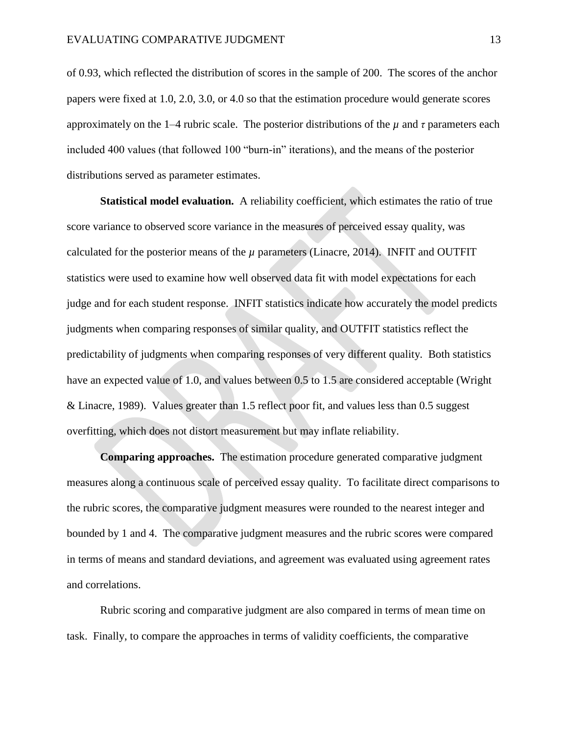of 0.93, which reflected the distribution of scores in the sample of 200. The scores of the anchor papers were fixed at 1.0, 2.0, 3.0, or 4.0 so that the estimation procedure would generate scores approximately on the 1–4 rubric scale. The posterior distributions of the *µ* and *τ* parameters each included 400 values (that followed 100 "burn-in" iterations), and the means of the posterior distributions served as parameter estimates.

**Statistical model evaluation.** A reliability coefficient, which estimates the ratio of true score variance to observed score variance in the measures of perceived essay quality, was calculated for the posterior means of the  $\mu$  parameters [\(Linacre, 2014\)](#page-23-8). INFIT and OUTFIT statistics were used to examine how well observed data fit with model expectations for each judge and for each student response. INFIT statistics indicate how accurately the model predicts judgments when comparing responses of similar quality, and OUTFIT statistics reflect the predictability of judgments when comparing responses of very different quality. Both statistics have an expected value of 1.0, and values between 0.5 to 1.5 are considered acceptable [\(Wright](#page-25-6)  [& Linacre, 1989\)](#page-25-6). Values greater than 1.5 reflect poor fit, and values less than 0.5 suggest overfitting, which does not distort measurement but may inflate reliability.

**Comparing approaches.** The estimation procedure generated comparative judgment measures along a continuous scale of perceived essay quality. To facilitate direct comparisons to the rubric scores, the comparative judgment measures were rounded to the nearest integer and bounded by 1 and 4. The comparative judgment measures and the rubric scores were compared in terms of means and standard deviations, and agreement was evaluated using agreement rates and correlations.

Rubric scoring and comparative judgment are also compared in terms of mean time on task. Finally, to compare the approaches in terms of validity coefficients, the comparative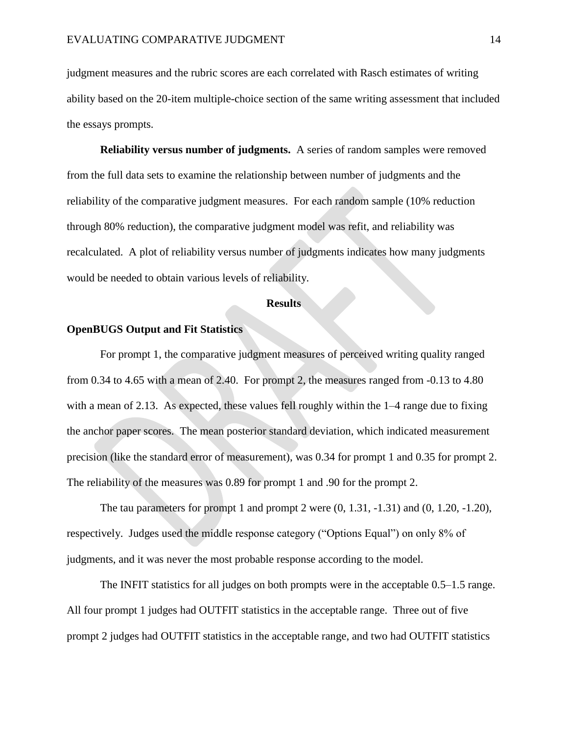judgment measures and the rubric scores are each correlated with Rasch estimates of writing ability based on the 20-item multiple-choice section of the same writing assessment that included the essays prompts.

**Reliability versus number of judgments.** A series of random samples were removed from the full data sets to examine the relationship between number of judgments and the reliability of the comparative judgment measures. For each random sample (10% reduction through 80% reduction), the comparative judgment model was refit, and reliability was recalculated. A plot of reliability versus number of judgments indicates how many judgments would be needed to obtain various levels of reliability.

#### **Results**

### **OpenBUGS Output and Fit Statistics**

For prompt 1, the comparative judgment measures of perceived writing quality ranged from 0.34 to 4.65 with a mean of 2.40. For prompt 2, the measures ranged from -0.13 to 4.80 with a mean of 2.13. As expected, these values fell roughly within the 1–4 range due to fixing the anchor paper scores. The mean posterior standard deviation, which indicated measurement precision (like the standard error of measurement), was 0.34 for prompt 1 and 0.35 for prompt 2. The reliability of the measures was 0.89 for prompt 1 and .90 for the prompt 2.

The tau parameters for prompt 1 and prompt 2 were (0, 1.31, -1.31) and (0, 1.20, -1.20), respectively. Judges used the middle response category ("Options Equal") on only 8% of judgments, and it was never the most probable response according to the model.

The INFIT statistics for all judges on both prompts were in the acceptable 0.5–1.5 range. All four prompt 1 judges had OUTFIT statistics in the acceptable range. Three out of five prompt 2 judges had OUTFIT statistics in the acceptable range, and two had OUTFIT statistics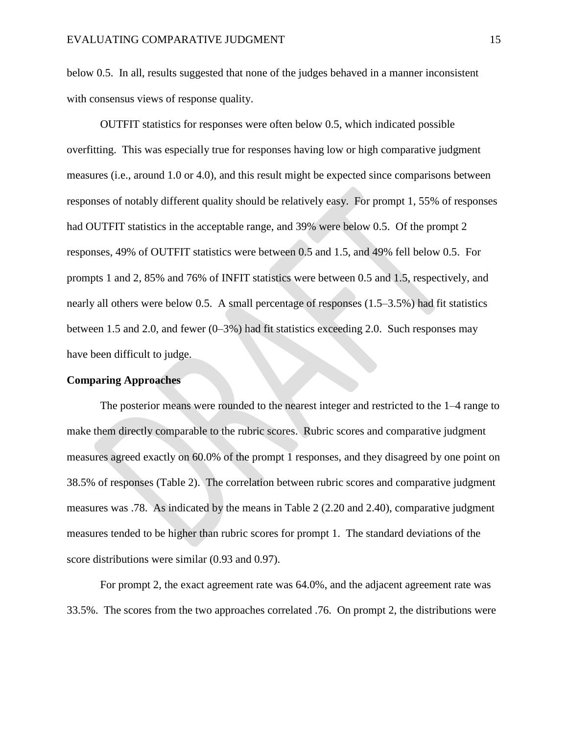below 0.5. In all, results suggested that none of the judges behaved in a manner inconsistent with consensus views of response quality.

OUTFIT statistics for responses were often below 0.5, which indicated possible overfitting. This was especially true for responses having low or high comparative judgment measures (i.e., around 1.0 or 4.0), and this result might be expected since comparisons between responses of notably different quality should be relatively easy. For prompt 1, 55% of responses had OUTFIT statistics in the acceptable range, and 39% were below 0.5. Of the prompt 2 responses, 49% of OUTFIT statistics were between 0.5 and 1.5, and 49% fell below 0.5. For prompts 1 and 2, 85% and 76% of INFIT statistics were between 0.5 and 1.5, respectively, and nearly all others were below 0.5. A small percentage of responses (1.5–3.5%) had fit statistics between 1.5 and 2.0, and fewer (0–3%) had fit statistics exceeding 2.0. Such responses may have been difficult to judge.

#### **Comparing Approaches**

The posterior means were rounded to the nearest integer and restricted to the 1–4 range to make them directly comparable to the rubric scores. Rubric scores and comparative judgment measures agreed exactly on 60.0% of the prompt 1 responses, and they disagreed by one point on 38.5% of responses (Table 2). The correlation between rubric scores and comparative judgment measures was .78. As indicated by the means in Table 2 (2.20 and 2.40), comparative judgment measures tended to be higher than rubric scores for prompt 1. The standard deviations of the score distributions were similar (0.93 and 0.97).

For prompt 2, the exact agreement rate was 64.0%, and the adjacent agreement rate was 33.5%. The scores from the two approaches correlated .76. On prompt 2, the distributions were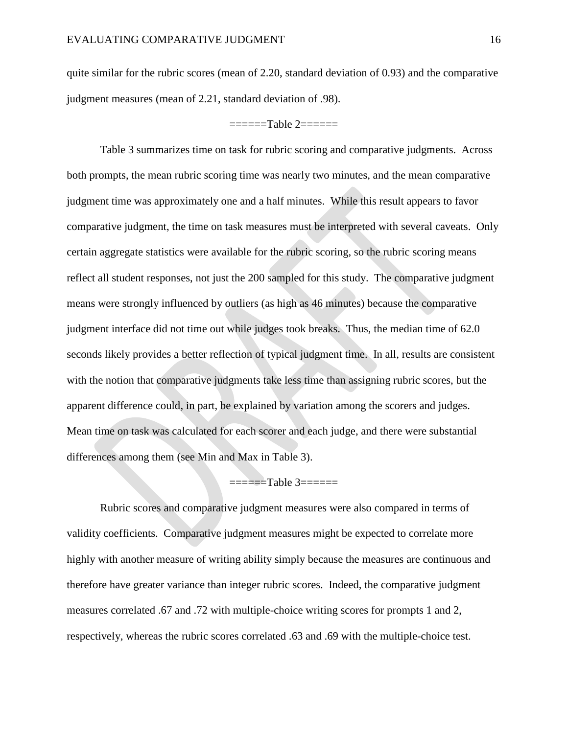quite similar for the rubric scores (mean of 2.20, standard deviation of 0.93) and the comparative judgment measures (mean of 2.21, standard deviation of .98).

#### $=$  $=$  $=$  $=$  $\frac{1}{2}$  $=$  $=$  $=$  $=$  $=$  $=$  $=$  $\frac{1}{2}$

Table 3 summarizes time on task for rubric scoring and comparative judgments. Across both prompts, the mean rubric scoring time was nearly two minutes, and the mean comparative judgment time was approximately one and a half minutes. While this result appears to favor comparative judgment, the time on task measures must be interpreted with several caveats. Only certain aggregate statistics were available for the rubric scoring, so the rubric scoring means reflect all student responses, not just the 200 sampled for this study. The comparative judgment means were strongly influenced by outliers (as high as 46 minutes) because the comparative judgment interface did not time out while judges took breaks. Thus, the median time of 62.0 seconds likely provides a better reflection of typical judgment time. In all, results are consistent with the notion that comparative judgments take less time than assigning rubric scores, but the apparent difference could, in part, be explained by variation among the scorers and judges. Mean time on task was calculated for each scorer and each judge, and there were substantial differences among them (see Min and Max in Table 3).

### ======Table 3======

Rubric scores and comparative judgment measures were also compared in terms of validity coefficients. Comparative judgment measures might be expected to correlate more highly with another measure of writing ability simply because the measures are continuous and therefore have greater variance than integer rubric scores. Indeed, the comparative judgment measures correlated .67 and .72 with multiple-choice writing scores for prompts 1 and 2, respectively, whereas the rubric scores correlated .63 and .69 with the multiple-choice test.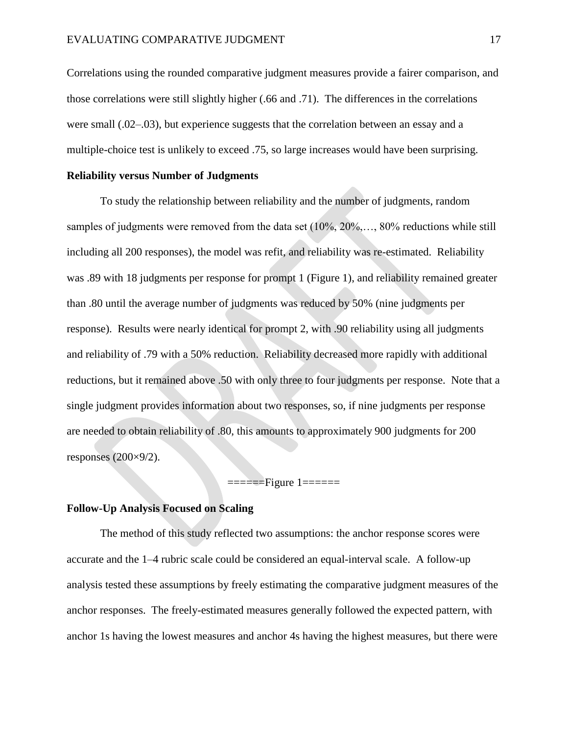Correlations using the rounded comparative judgment measures provide a fairer comparison, and those correlations were still slightly higher (.66 and .71). The differences in the correlations were small (.02–.03), but experience suggests that the correlation between an essay and a multiple-choice test is unlikely to exceed .75, so large increases would have been surprising.

### **Reliability versus Number of Judgments**

To study the relationship between reliability and the number of judgments, random samples of judgments were removed from the data set (10%, 20%,..., 80% reductions while still including all 200 responses), the model was refit, and reliability was re-estimated. Reliability was .89 with 18 judgments per response for prompt 1 (Figure 1), and reliability remained greater than .80 until the average number of judgments was reduced by 50% (nine judgments per response). Results were nearly identical for prompt 2, with .90 reliability using all judgments and reliability of .79 with a 50% reduction. Reliability decreased more rapidly with additional reductions, but it remained above .50 with only three to four judgments per response. Note that a single judgment provides information about two responses, so, if nine judgments per response are needed to obtain reliability of .80, this amounts to approximately 900 judgments for 200 responses (200×9/2).

## ======Figure 1======

#### **Follow-Up Analysis Focused on Scaling**

The method of this study reflected two assumptions: the anchor response scores were accurate and the 1–4 rubric scale could be considered an equal-interval scale. A follow-up analysis tested these assumptions by freely estimating the comparative judgment measures of the anchor responses. The freely-estimated measures generally followed the expected pattern, with anchor 1s having the lowest measures and anchor 4s having the highest measures, but there were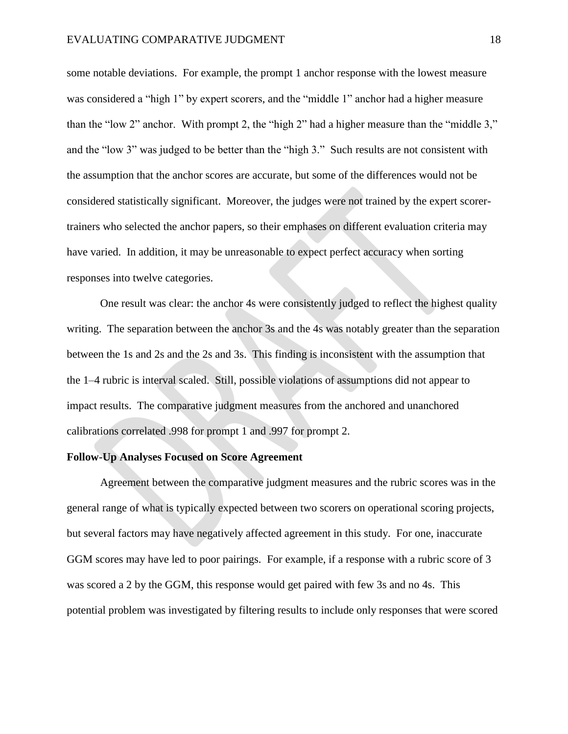some notable deviations. For example, the prompt 1 anchor response with the lowest measure was considered a "high 1" by expert scorers, and the "middle 1" anchor had a higher measure than the "low 2" anchor. With prompt 2, the "high 2" had a higher measure than the "middle 3," and the "low 3" was judged to be better than the "high 3." Such results are not consistent with the assumption that the anchor scores are accurate, but some of the differences would not be considered statistically significant. Moreover, the judges were not trained by the expert scorertrainers who selected the anchor papers, so their emphases on different evaluation criteria may have varied. In addition, it may be unreasonable to expect perfect accuracy when sorting responses into twelve categories.

One result was clear: the anchor 4s were consistently judged to reflect the highest quality writing. The separation between the anchor 3s and the 4s was notably greater than the separation between the 1s and 2s and the 2s and 3s. This finding is inconsistent with the assumption that the 1–4 rubric is interval scaled. Still, possible violations of assumptions did not appear to impact results. The comparative judgment measures from the anchored and unanchored calibrations correlated .998 for prompt 1 and .997 for prompt 2.

## **Follow-Up Analyses Focused on Score Agreement**

Agreement between the comparative judgment measures and the rubric scores was in the general range of what is typically expected between two scorers on operational scoring projects, but several factors may have negatively affected agreement in this study. For one, inaccurate GGM scores may have led to poor pairings. For example, if a response with a rubric score of 3 was scored a 2 by the GGM, this response would get paired with few 3s and no 4s. This potential problem was investigated by filtering results to include only responses that were scored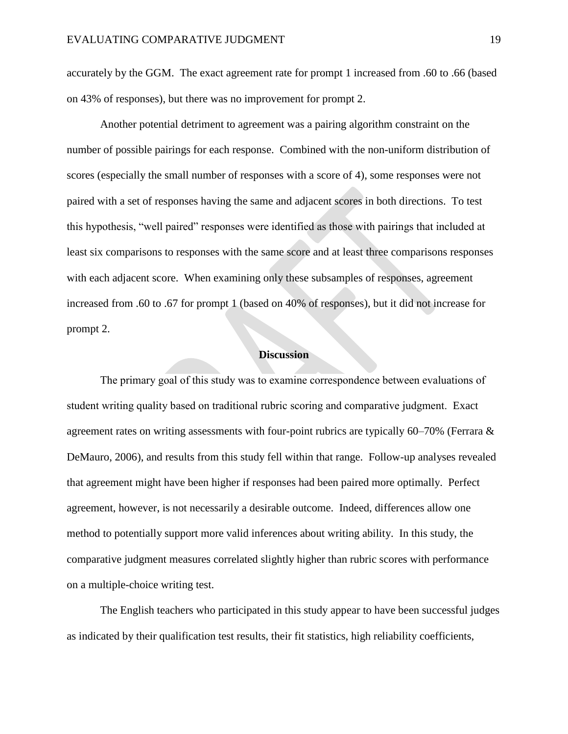accurately by the GGM. The exact agreement rate for prompt 1 increased from .60 to .66 (based on 43% of responses), but there was no improvement for prompt 2.

Another potential detriment to agreement was a pairing algorithm constraint on the number of possible pairings for each response. Combined with the non-uniform distribution of scores (especially the small number of responses with a score of 4), some responses were not paired with a set of responses having the same and adjacent scores in both directions. To test this hypothesis, "well paired" responses were identified as those with pairings that included at least six comparisons to responses with the same score and at least three comparisons responses with each adjacent score. When examining only these subsamples of responses, agreement increased from .60 to .67 for prompt 1 (based on 40% of responses), but it did not increase for prompt 2.

#### **Discussion**

The primary goal of this study was to examine correspondence between evaluations of student writing quality based on traditional rubric scoring and comparative judgment. Exact agreement rates on writing assessments with four-point rubrics are typically 60–70% (Ferrara  $\&$ [DeMauro, 2006\)](#page-22-5), and results from this study fell within that range. Follow-up analyses revealed that agreement might have been higher if responses had been paired more optimally. Perfect agreement, however, is not necessarily a desirable outcome. Indeed, differences allow one method to potentially support more valid inferences about writing ability. In this study, the comparative judgment measures correlated slightly higher than rubric scores with performance on a multiple-choice writing test.

The English teachers who participated in this study appear to have been successful judges as indicated by their qualification test results, their fit statistics, high reliability coefficients,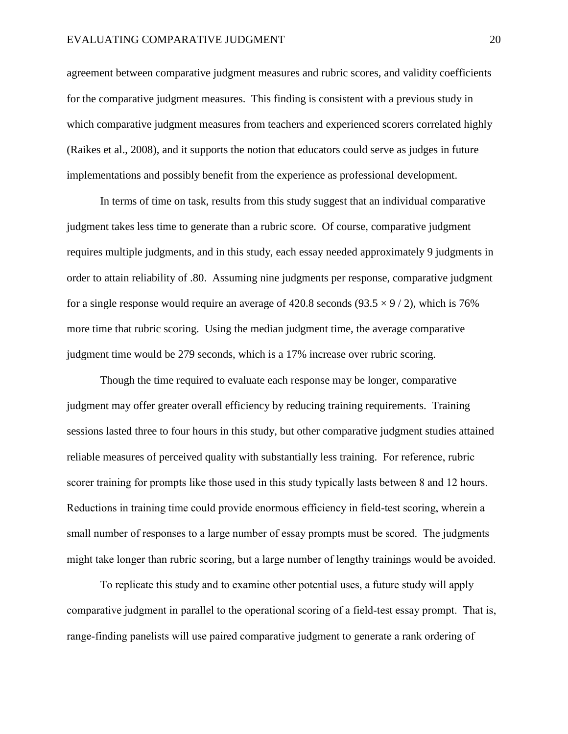agreement between comparative judgment measures and rubric scores, and validity coefficients for the comparative judgment measures. This finding is consistent with a previous study in which comparative judgment measures from teachers and experienced scorers correlated highly [\(Raikes et al., 2008\)](#page-24-1), and it supports the notion that educators could serve as judges in future implementations and possibly benefit from the experience as professional development.

In terms of time on task, results from this study suggest that an individual comparative judgment takes less time to generate than a rubric score. Of course, comparative judgment requires multiple judgments, and in this study, each essay needed approximately 9 judgments in order to attain reliability of .80. Assuming nine judgments per response, comparative judgment for a single response would require an average of 420.8 seconds (93.5  $\times$  9/2), which is 76% more time that rubric scoring. Using the median judgment time, the average comparative judgment time would be 279 seconds, which is a 17% increase over rubric scoring.

Though the time required to evaluate each response may be longer, comparative judgment may offer greater overall efficiency by reducing training requirements. Training sessions lasted three to four hours in this study, but other comparative judgment studies attained reliable measures of perceived quality with substantially less training. For reference, rubric scorer training for prompts like those used in this study typically lasts between 8 and 12 hours. Reductions in training time could provide enormous efficiency in field-test scoring, wherein a small number of responses to a large number of essay prompts must be scored. The judgments might take longer than rubric scoring, but a large number of lengthy trainings would be avoided.

To replicate this study and to examine other potential uses, a future study will apply comparative judgment in parallel to the operational scoring of a field-test essay prompt. That is, range-finding panelists will use paired comparative judgment to generate a rank ordering of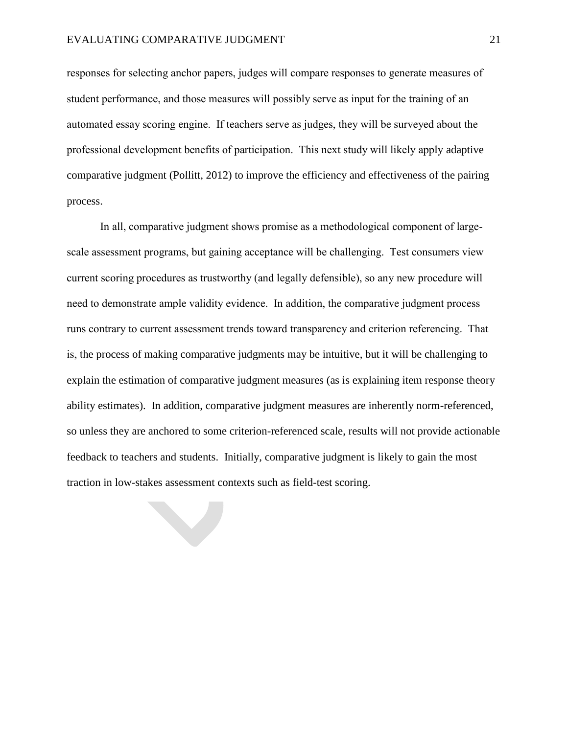responses for selecting anchor papers, judges will compare responses to generate measures of student performance, and those measures will possibly serve as input for the training of an automated essay scoring engine. If teachers serve as judges, they will be surveyed about the professional development benefits of participation. This next study will likely apply adaptive comparative judgment [\(Pollitt, 2012\)](#page-24-3) to improve the efficiency and effectiveness of the pairing process.

In all, comparative judgment shows promise as a methodological component of largescale assessment programs, but gaining acceptance will be challenging. Test consumers view current scoring procedures as trustworthy (and legally defensible), so any new procedure will need to demonstrate ample validity evidence. In addition, the comparative judgment process runs contrary to current assessment trends toward transparency and criterion referencing. That is, the process of making comparative judgments may be intuitive, but it will be challenging to explain the estimation of comparative judgment measures (as is explaining item response theory ability estimates). In addition, comparative judgment measures are inherently norm-referenced, so unless they are anchored to some criterion-referenced scale, results will not provide actionable feedback to teachers and students. Initially, comparative judgment is likely to gain the most traction in low-stakes assessment contexts such as field-test scoring.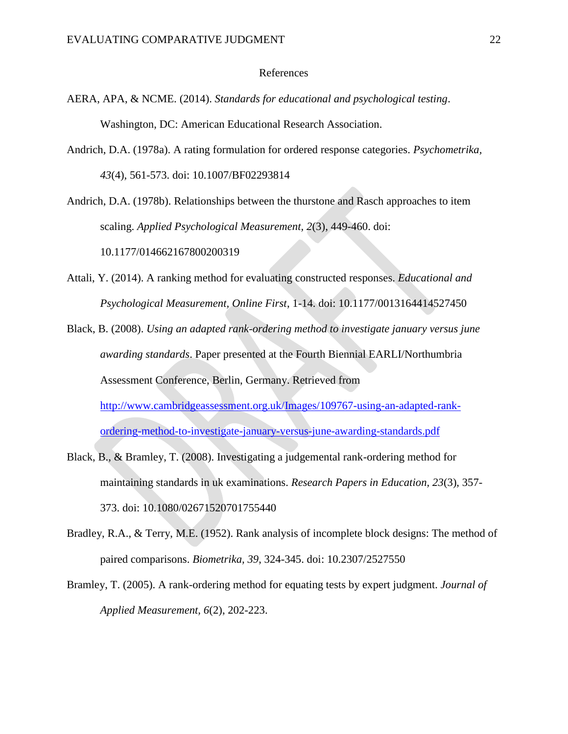#### References

- <span id="page-21-11"></span><span id="page-21-0"></span>AERA, APA, & NCME. (2014). *Standards for educational and psychological testing*. Washington, DC: American Educational Research Association.
- <span id="page-21-9"></span><span id="page-21-7"></span>Andrich, D.A. (1978a). A rating formulation for ordered response categories. *Psychometrika, 43*(4), 561-573. doi: 10.1007/BF02293814

<span id="page-21-2"></span>Andrich, D.A. (1978b). Relationships between the thurstone and Rasch approaches to item scaling. *Applied Psychological Measurement, 2*(3), 449-460. doi: 10.1177/014662167800200319

- <span id="page-21-10"></span><span id="page-21-5"></span>Attali, Y. (2014). A ranking method for evaluating constructed responses. *Educational and Psychological Measurement, Online First*, 1-14. doi: 10.1177/0013164414527450
- <span id="page-21-3"></span>Black, B. (2008). *Using an adapted rank-ordering method to investigate january versus june awarding standards*. Paper presented at the Fourth Biennial EARLI/Northumbria Assessment Conference, Berlin, Germany. Retrieved from [http://www.cambridgeassessment.org.uk/Images/109767-using-an-adapted-rank](http://www.cambridgeassessment.org.uk/Images/109767-using-an-adapted-rank-ordering-method-to-investigate-january-versus-june-awarding-standards.pdf)[ordering-method-to-investigate-january-versus-june-awarding-standards.pdf](http://www.cambridgeassessment.org.uk/Images/109767-using-an-adapted-rank-ordering-method-to-investigate-january-versus-june-awarding-standards.pdf)
- <span id="page-21-8"></span><span id="page-21-6"></span>Black, B., & Bramley, T. (2008). Investigating a judgemental rank-ordering method for maintaining standards in uk examinations. *Research Papers in Education, 23*(3), 357- 373. doi: 10.1080/02671520701755440
- <span id="page-21-1"></span>Bradley, R.A., & Terry, M.E. (1952). Rank analysis of incomplete block designs: The method of paired comparisons. *Biometrika, 39*, 324-345. doi: 10.2307/2527550
- <span id="page-21-4"></span>Bramley, T. (2005). A rank-ordering method for equating tests by expert judgment. *Journal of Applied Measurement, 6*(2), 202-223.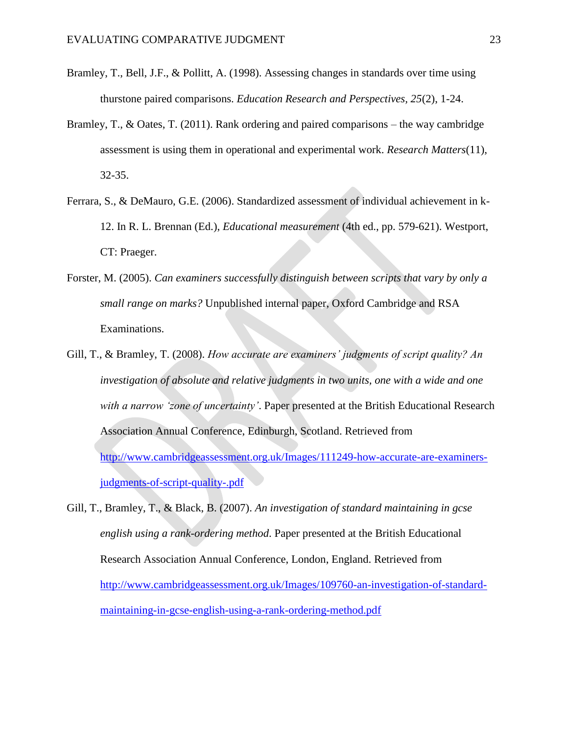- <span id="page-22-6"></span><span id="page-22-3"></span>Bramley, T., Bell, J.F., & Pollitt, A. (1998). Assessing changes in standards over time using thurstone paired comparisons. *Education Research and Perspectives, 25*(2), 1-24.
- <span id="page-22-7"></span><span id="page-22-2"></span>Bramley, T., & Oates, T. (2011). Rank ordering and paired comparisons – the way cambridge assessment is using them in operational and experimental work. *Research Matters*(11), 32-35.
- <span id="page-22-5"></span>Ferrara, S., & DeMauro, G.E. (2006). Standardized assessment of individual achievement in k-12. In R. L. Brennan (Ed.), *Educational measurement* (4th ed., pp. 579-621). Westport, CT: Praeger.
- <span id="page-22-4"></span>Forster, M. (2005). *Can examiners successfully distinguish between scripts that vary by only a small range on marks?* Unpublished internal paper, Oxford Cambridge and RSA Examinations.
- <span id="page-22-8"></span><span id="page-22-1"></span>Gill, T., & Bramley, T. (2008). *How accurate are examiners' judgments of script quality? An investigation of absolute and relative judgments in two units, one with a wide and one with a narrow 'zone of uncertainty'*. Paper presented at the British Educational Research Association Annual Conference, Edinburgh, Scotland. Retrieved from [http://www.cambridgeassessment.org.uk/Images/111249-how-accurate-are-examiners](http://www.cambridgeassessment.org.uk/Images/111249-how-accurate-are-examiners-judgments-of-script-quality-.pdf)[judgments-of-script-quality-.pdf](http://www.cambridgeassessment.org.uk/Images/111249-how-accurate-are-examiners-judgments-of-script-quality-.pdf)
- <span id="page-22-0"></span>Gill, T., Bramley, T., & Black, B. (2007). *An investigation of standard maintaining in gcse english using a rank-ordering method*. Paper presented at the British Educational Research Association Annual Conference, London, England. Retrieved from [http://www.cambridgeassessment.org.uk/Images/109760-an-investigation-of-standard](http://www.cambridgeassessment.org.uk/Images/109760-an-investigation-of-standard-maintaining-in-gcse-english-using-a-rank-ordering-method.pdf)[maintaining-in-gcse-english-using-a-rank-ordering-method.pdf](http://www.cambridgeassessment.org.uk/Images/109760-an-investigation-of-standard-maintaining-in-gcse-english-using-a-rank-ordering-method.pdf)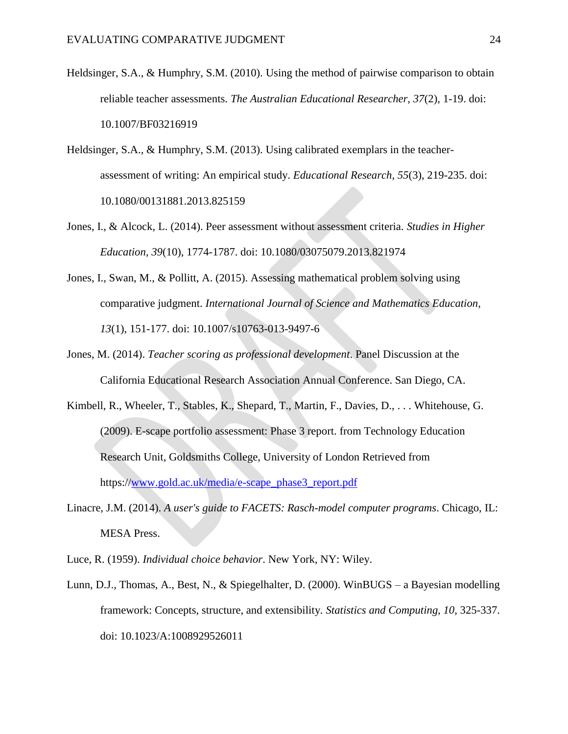- <span id="page-23-13"></span><span id="page-23-12"></span><span id="page-23-11"></span><span id="page-23-10"></span><span id="page-23-3"></span>Heldsinger, S.A., & Humphry, S.M. (2010). Using the method of pairwise comparison to obtain reliable teacher assessments. *The Australian Educational Researcher, 37*(2), 1-19. doi: 10.1007/BF03216919
- <span id="page-23-4"></span>Heldsinger, S.A., & Humphry, S.M. (2013). Using calibrated exemplars in the teacherassessment of writing: An empirical study. *Educational Research, 55*(3), 219-235. doi: 10.1080/00131881.2013.825159
- <span id="page-23-9"></span><span id="page-23-5"></span>Jones, I., & Alcock, L. (2014). Peer assessment without assessment criteria. *Studies in Higher Education, 39*(10), 1774-1787. doi: 10.1080/03075079.2013.821974
- <span id="page-23-6"></span>Jones, I., Swan, M., & Pollitt, A. (2015). Assessing mathematical problem solving using comparative judgment. *International Journal of Science and Mathematics Education, 13*(1), 151-177. doi: 10.1007/s10763-013-9497-6
- <span id="page-23-0"></span>Jones, M. (2014). *Teacher scoring as professional development*. Panel Discussion at the California Educational Research Association Annual Conference. San Diego, CA.
- <span id="page-23-2"></span>Kimbell, R., Wheeler, T., Stables, K., Shepard, T., Martin, F., Davies, D., . . . Whitehouse, G. (2009). E-scape portfolio assessment: Phase 3 report. from Technology Education Research Unit, Goldsmiths College, University of London Retrieved from https:/[/www.gold.ac.uk/media/e-scape\\_phase3\\_report.pdf](http://www.gold.ac.uk/media/e-scape_phase3_report.pdf)
- <span id="page-23-8"></span>Linacre, J.M. (2014). *A user's guide to FACETS: Rasch-model computer programs*. Chicago, IL: MESA Press.
- <span id="page-23-1"></span>Luce, R. (1959). *Individual choice behavior*. New York, NY: Wiley.
- <span id="page-23-7"></span>Lunn, D.J., Thomas, A., Best, N., & Spiegelhalter, D. (2000). WinBUGS – a Bayesian modelling framework: Concepts, structure, and extensibility. *Statistics and Computing, 10*, 325-337. doi: 10.1023/A:1008929526011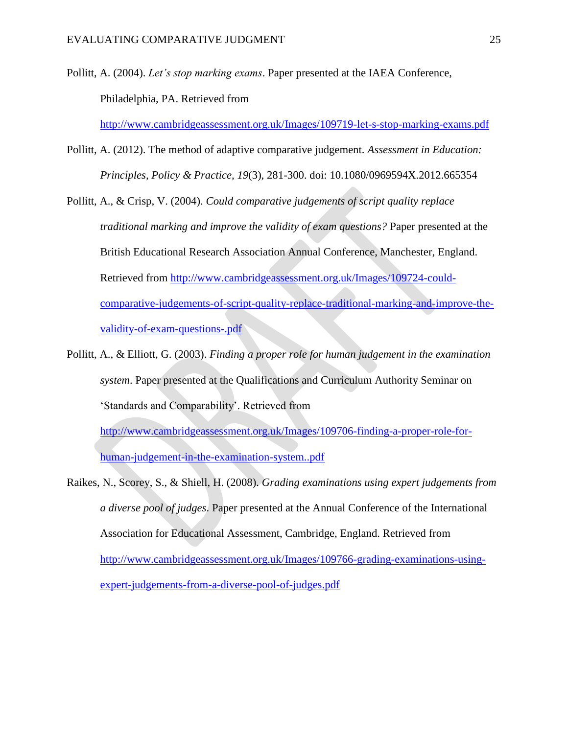<span id="page-24-4"></span><span id="page-24-2"></span>Pollitt, A. (2004). *Let's stop marking exams*. Paper presented at the IAEA Conference,

Philadelphia, PA. Retrieved from

<http://www.cambridgeassessment.org.uk/Images/109719-let-s-stop-marking-exams.pdf>

- <span id="page-24-3"></span>Pollitt, A. (2012). The method of adaptive comparative judgement. *Assessment in Education: Principles, Policy & Practice, 19*(3), 281-300. doi: 10.1080/0969594X.2012.665354
- Pollitt, A., & Crisp, V. (2004). *Could comparative judgements of script quality replace traditional marking and improve the validity of exam questions?* Paper presented at the British Educational Research Association Annual Conference, Manchester, England. Retrieved from [http://www.cambridgeassessment.org.uk/Images/109724-could](http://www.cambridgeassessment.org.uk/Images/109724-could-comparative-judgements-of-script-quality-replace-traditional-marking-and-improve-the-validity-of-exam-questions-.pdf)[comparative-judgements-of-script-quality-replace-traditional-marking-and-improve-the](http://www.cambridgeassessment.org.uk/Images/109724-could-comparative-judgements-of-script-quality-replace-traditional-marking-and-improve-the-validity-of-exam-questions-.pdf)[validity-of-exam-questions-.pdf](http://www.cambridgeassessment.org.uk/Images/109724-could-comparative-judgements-of-script-quality-replace-traditional-marking-and-improve-the-validity-of-exam-questions-.pdf)
- <span id="page-24-5"></span><span id="page-24-0"></span>Pollitt, A., & Elliott, G. (2003). *Finding a proper role for human judgement in the examination system*. Paper presented at the Qualifications and Curriculum Authority Seminar on 'Standards and Comparability'. Retrieved from

[http://www.cambridgeassessment.org.uk/Images/109706-finding-a-proper-role-for](http://www.cambridgeassessment.org.uk/Images/109706-finding-a-proper-role-for-human-judgement-in-the-examination-system..pdf)[human-judgement-in-the-examination-system..pdf](http://www.cambridgeassessment.org.uk/Images/109706-finding-a-proper-role-for-human-judgement-in-the-examination-system..pdf)

<span id="page-24-1"></span>Raikes, N., Scorey, S., & Shiell, H. (2008). *Grading examinations using expert judgements from a diverse pool of judges*. Paper presented at the Annual Conference of the International Association for Educational Assessment, Cambridge, England. Retrieved from [http://www.cambridgeassessment.org.uk/Images/109766-grading-examinations-using](http://www.cambridgeassessment.org.uk/Images/109766-grading-examinations-using-expert-judgements-from-a-diverse-pool-of-judges.pdf)[expert-judgements-from-a-diverse-pool-of-judges.pdf](http://www.cambridgeassessment.org.uk/Images/109766-grading-examinations-using-expert-judgements-from-a-diverse-pool-of-judges.pdf)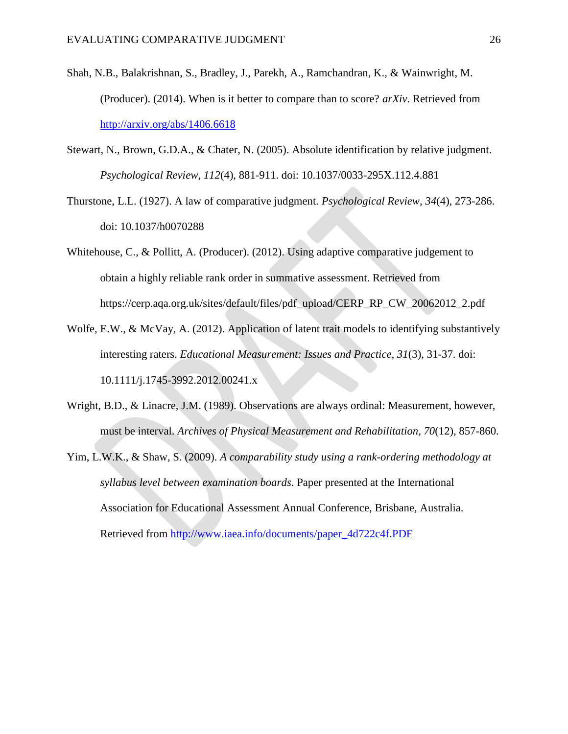- <span id="page-25-8"></span><span id="page-25-5"></span>Shah, N.B., Balakrishnan, S., Bradley, J., Parekh, A., Ramchandran, K., & Wainwright, M. (Producer). (2014). When is it better to compare than to score? *arXiv*. Retrieved from <http://arxiv.org/abs/1406.6618>
- <span id="page-25-4"></span>Stewart, N., Brown, G.D.A., & Chater, N. (2005). Absolute identification by relative judgment. *Psychological Review, 112*(4), 881-911. doi: 10.1037/0033-295X.112.4.881
- <span id="page-25-1"></span>Thurstone, L.L. (1927). A law of comparative judgment. *Psychological Review, 34*(4), 273-286. doi: 10.1037/h0070288
- <span id="page-25-7"></span><span id="page-25-3"></span>Whitehouse, C., & Pollitt, A. (Producer). (2012). Using adaptive comparative judgement to obtain a highly reliable rank order in summative assessment. Retrieved from https://cerp.aqa.org.uk/sites/default/files/pdf\_upload/CERP\_RP\_CW\_20062012\_2.pdf
- <span id="page-25-0"></span>Wolfe, E.W., & McVay, A. (2012). Application of latent trait models to identifying substantively interesting raters. *Educational Measurement: Issues and Practice, 31*(3), 31-37. doi: 10.1111/j.1745-3992.2012.00241.x
- <span id="page-25-6"></span>Wright, B.D., & Linacre, J.M. (1989). Observations are always ordinal: Measurement, however, must be interval. *Archives of Physical Measurement and Rehabilitation, 70*(12), 857-860.
- <span id="page-25-2"></span>Yim, L.W.K., & Shaw, S. (2009). *A comparability study using a rank-ordering methodology at syllabus level between examination boards*. Paper presented at the International Association for Educational Assessment Annual Conference, Brisbane, Australia. Retrieved from [http://www.iaea.info/documents/paper\\_4d722c4f.PDF](http://www.iaea.info/documents/paper_4d722c4f.PDF)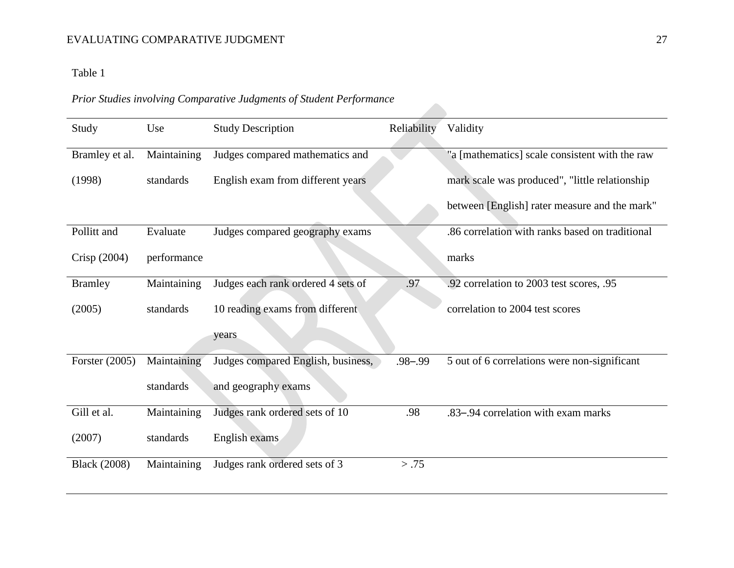## EVALUATING COMPARATIVE JUDGMENT 27

## Table 1

# *Prior Studies involving Comparative Judgments of Student Performance*

| Study               | Use         | <b>Study Description</b>           | Reliability | Validity                                        |
|---------------------|-------------|------------------------------------|-------------|-------------------------------------------------|
| Bramley et al.      | Maintaining | Judges compared mathematics and    |             | "a [mathematics] scale consistent with the raw  |
| (1998)              | standards   | English exam from different years  |             | mark scale was produced", "little relationship  |
|                     |             |                                    |             | between [English] rater measure and the mark"   |
| Pollitt and         | Evaluate    | Judges compared geography exams    |             | .86 correlation with ranks based on traditional |
| Crisp (2004)        | performance |                                    |             | marks                                           |
| <b>Bramley</b>      | Maintaining | Judges each rank ordered 4 sets of | .97         | .92 correlation to 2003 test scores, .95        |
| (2005)              | standards   | 10 reading exams from different    |             | correlation to 2004 test scores                 |
|                     |             | years.                             |             |                                                 |
| Forster $(2005)$    | Maintaining | Judges compared English, business, | $.98 - .99$ | 5 out of 6 correlations were non-significant    |
|                     | standards   | and geography exams                |             |                                                 |
| Gill et al.         | Maintaining | Judges rank ordered sets of 10     | .98         | .83–.94 correlation with exam marks             |
| (2007)              | standards   | English exams                      |             |                                                 |
| <b>Black</b> (2008) | Maintaining | Judges rank ordered sets of 3      | > .75       |                                                 |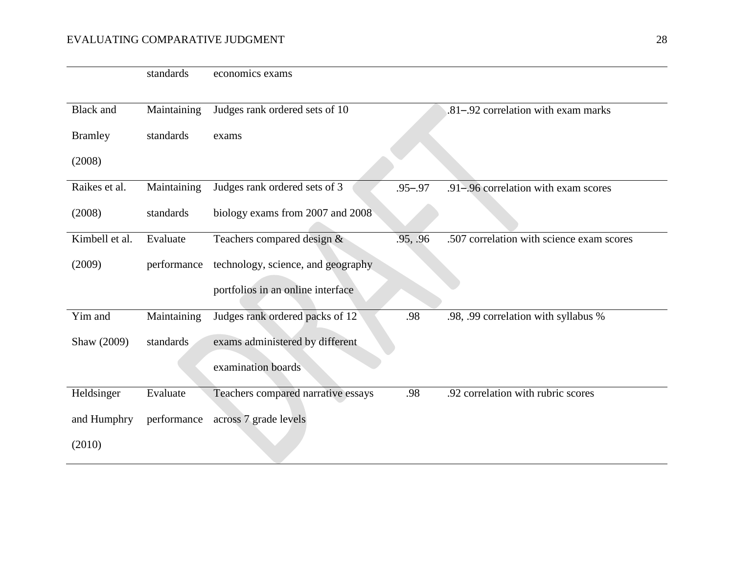## EVALUATING COMPARATIVE JUDGMENT 28

|                  | standards   | economics exams                    |             |                                           |
|------------------|-------------|------------------------------------|-------------|-------------------------------------------|
|                  |             |                                    |             |                                           |
| <b>Black</b> and | Maintaining | Judges rank ordered sets of 10     |             | .81-.92 correlation with exam marks       |
| <b>Bramley</b>   | standards   | exams                              |             |                                           |
| (2008)           |             |                                    |             |                                           |
| Raikes et al.    | Maintaining | Judges rank ordered sets of 3      | $.95 - .97$ | .91–.96 correlation with exam scores      |
| (2008)           | standards   | biology exams from 2007 and 2008   |             |                                           |
| Kimbell et al.   | Evaluate    | Teachers compared design $&$       | .95, .96    | .507 correlation with science exam scores |
| (2009)           | performance | technology, science, and geography |             |                                           |
|                  |             | portfolios in an online interface  |             |                                           |
| Yim and          | Maintaining | Judges rank ordered packs of 12    | .98         | .98, .99 correlation with syllabus %      |
| Shaw (2009)      | standards   | exams administered by different    |             |                                           |
|                  |             | examination boards                 |             |                                           |
| Heldsinger       | Evaluate    | Teachers compared narrative essays | .98         | .92 correlation with rubric scores        |
| and Humphry      | performance | across 7 grade levels              |             |                                           |
| (2010)           |             |                                    |             |                                           |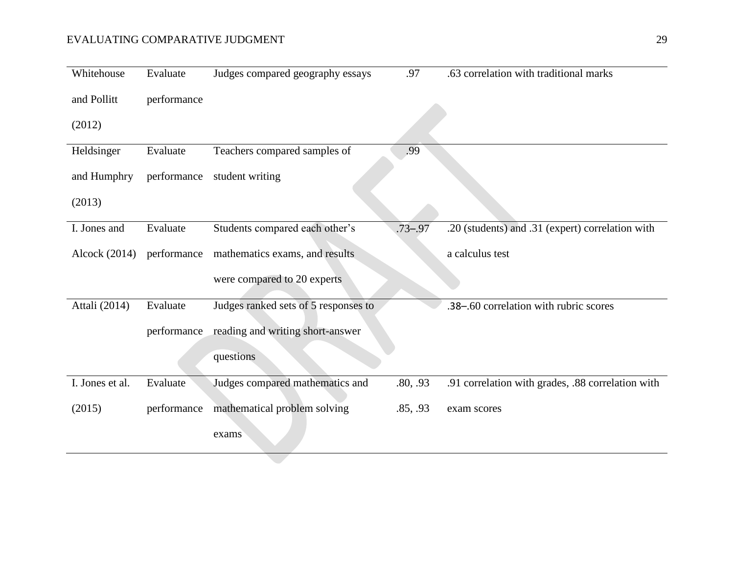## EVALUATING COMPARATIVE JUDGMENT 29

| Whitehouse      | Evaluate    | Judges compared geography essays     | .97         | .63 correlation with traditional marks            |
|-----------------|-------------|--------------------------------------|-------------|---------------------------------------------------|
| and Pollitt     | performance |                                      |             |                                                   |
| (2012)          |             |                                      |             |                                                   |
| Heldsinger      | Evaluate    | Teachers compared samples of         | .99         |                                                   |
| and Humphry     | performance | student writing                      |             |                                                   |
| (2013)          |             |                                      |             |                                                   |
| I. Jones and    | Evaluate    | Students compared each other's       | $.73 - .97$ | .20 (students) and .31 (expert) correlation with  |
| Alcock (2014)   | performance | mathematics exams, and results       |             | a calculus test                                   |
|                 |             | were compared to 20 experts          |             |                                                   |
| Attali (2014)   | Evaluate    | Judges ranked sets of 5 responses to |             | .38-.60 correlation with rubric scores            |
|                 | performance | reading and writing short-answer     |             |                                                   |
|                 |             | questions                            |             |                                                   |
| I. Jones et al. | Evaluate    | Judges compared mathematics and      | .80, .93    | .91 correlation with grades, .88 correlation with |
| (2015)          | performance | mathematical problem solving         | .85, .93    | exam scores                                       |
|                 |             | exams                                |             |                                                   |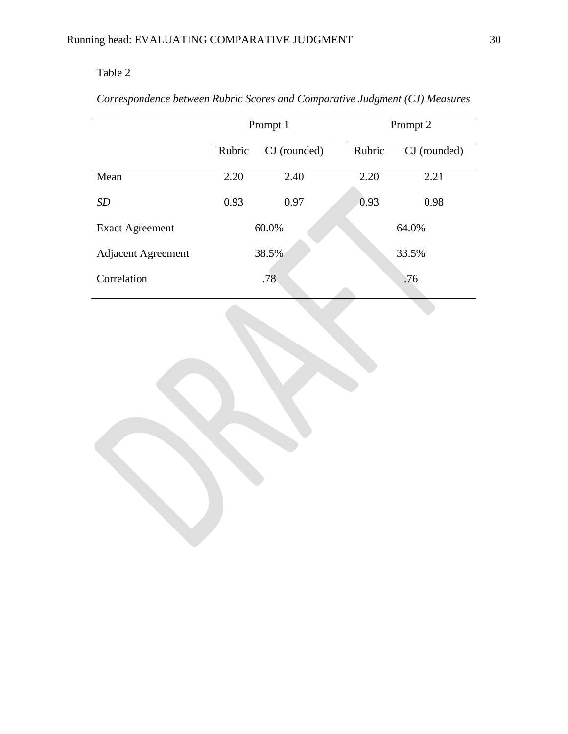# Table 2

# *Correspondence between Rubric Scores and Comparative Judgment (CJ) Measures*

|                           |                        | Prompt 1 | Prompt 2 |              |  |  |
|---------------------------|------------------------|----------|----------|--------------|--|--|
|                           | Rubric<br>CJ (rounded) |          | Rubric   | CJ (rounded) |  |  |
| Mean                      | 2.20                   | 2.40     | 2.20     | 2.21         |  |  |
| <i>SD</i>                 | 0.93                   | 0.97     | 0.93     | 0.98         |  |  |
| <b>Exact Agreement</b>    |                        | 60.0%    |          | 64.0%        |  |  |
| <b>Adjacent Agreement</b> |                        | 38.5%    |          | 33.5%        |  |  |
| Correlation               | .78                    |          | .76      |              |  |  |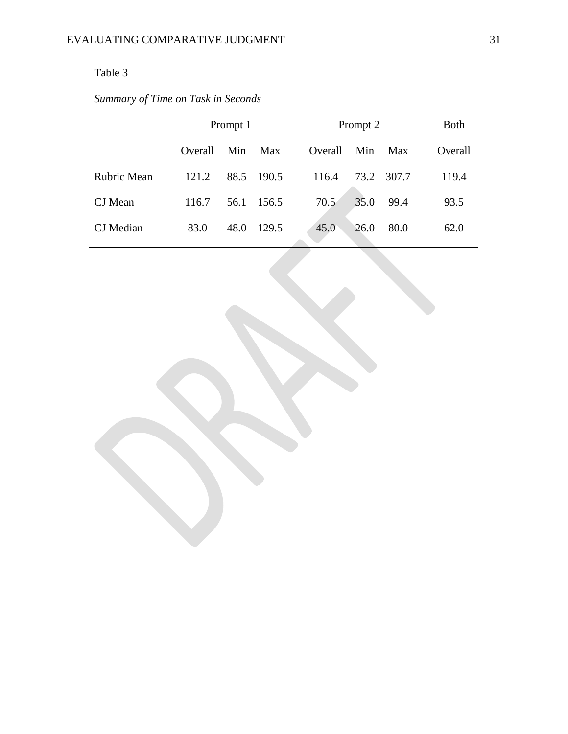## Table 3

# *Summary of Time on Task in Seconds*

|             | Prompt 1 |      |       |         | Prompt 2 |            |         |  |
|-------------|----------|------|-------|---------|----------|------------|---------|--|
|             | Overall  | Min  | Max   | Overall | Min      | <b>Max</b> | Overall |  |
| Rubric Mean | 121.2    | 88.5 | 190.5 | 116.4   | 73.2     | 307.7      | 119.4   |  |
| CJ Mean     | 116.7    | 56.1 | 156.5 | 70.5    | 35.0     | 99.4       | 93.5    |  |
| CJ Median   | 83.0     | 48.0 | 129.5 | 45.0    | 26.0     | 80.0       | 62.0    |  |